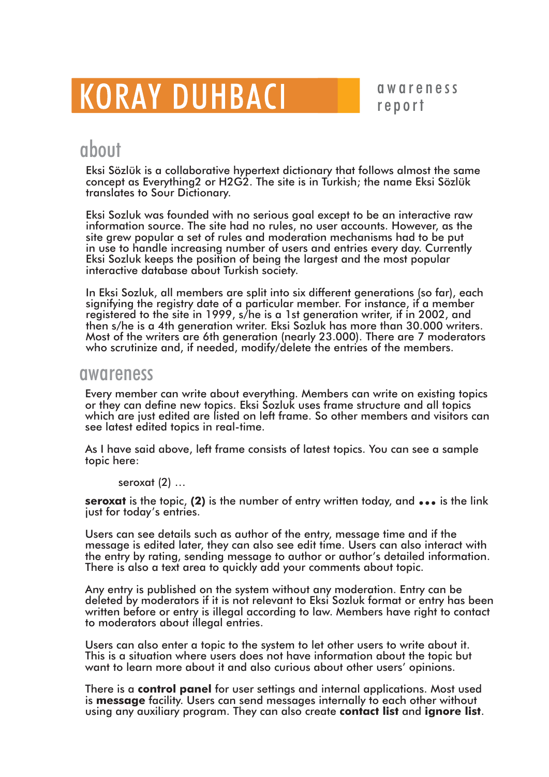# **KORAY DUHBACI**

awareness report

### about

Eksi Sözlük is a collaborative hypertext dictionary that follows almost the same concept as Everything 2 or H2G2. The site is in Turkish; the name Eksi Sözlük translates to Sour Dictionary.

Eksi Sozluk was founded with no serious goal except to be an interactive raw information source. The site had no rules, no user accounts. However, as the site grew popular a set of rules and moderation mechanisms had to be put in use to handle increasing number of users and entries every day. Currently Eksi Sozluk keeps the position of being the largest and the most popular interactive database about Turkish society.

In Eksi Sozluk, all members are split into six different generations (so far), each signifying the registry date of a particular member. For instance, if a member registered to the site in 1999, s/he is a 1st generation writer, if in 2002, and<br>then s/he is a 4th generation writer. Eksi Sozluk has more than 30.000 writers. Most of the writers are 6th generation (nearly 23.000). There are 7 moderators who scrutinize and, if needed, modify/delete the entries of the members.

#### awareness

Every member can write about everything. Members can write on existing topics or they can define new topics. Eksi Sozluk uses frame structure and all topics which are just edited are listed on left frame. So other members and visitors can see latest edited topics in real-time.

As I have said above, left frame consists of latest topics. You can see a sample topic here:

seroxat $(2)$  ...

**seroxat** is the topic, (2) is the number of entry written today, and  $\bullet \bullet \bullet$  is the link just for today's entries.

Users can see details such as author of the entry, message time and if the message is edited later, they can also see edit time. Users can also interact with the entry by rating, sending message to author or author's detailed information. There is also a text area to quickly add your comments about topic.

Any entry is published on the system without any moderation. Entry can be deleted by moderators if it is not relevant to Eksi Sozluk format or entry has been written before or entry is illegal according to law. Members have right to contact to moderators about illegal entries.

Users can also enter a topic to the system to let other users to write about it. This is a situation where users does not have information about the topic but want to learn more about it and also curious about other users' opinions.

There is a control panel for user settings and internal applications. Most used is message facility. Users can send messages internally to each other without using any auxiliary program. They can also create contact list and ignore list.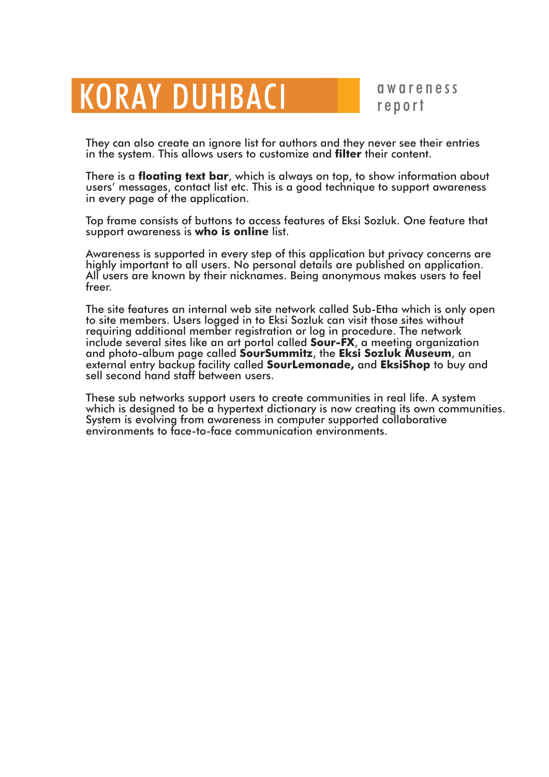## **KORAY DUHBACI**

qwareness report

They can also create an ignore list for authors and they never see their entries in the system. This allows users to customize and **filter** their content.

There is a **floating text bar**, which is always on top, to show information about users' messages, contact list etc. This is a good technique to support awareness in every page of the application.

Top frame consists of buttons to access features of Eksi Sozluk. One feature that support awareness is who is online list.

Awareness is supported in every step of this application but privacy concerns are highly important to all users. No personal details are published on application. All users are known by their nicknames. Being anonymous makes users to feel freer.

The site features an internal web site network called Sub-Etha which is only open to site members. Users logged in to Eksi Sozluk can visit those sites without requiring additional member registration or log in procedure. The network<br>include several sites like an art portal called **Sour-FX**, a meeting organization and photo-album page called SourSummitz, the Eksi Sozluk Museum, an external entry backup facility called **SourLemonade**, and **EksiShop** to buy and sell second hand staff between users.

These sub networks support users to create communities in real life. A system which is designed to be a hypertext dictionary is now creating its own communities. System is evolving from awareness in computer supported collaborative environments to face-to-face communication environments